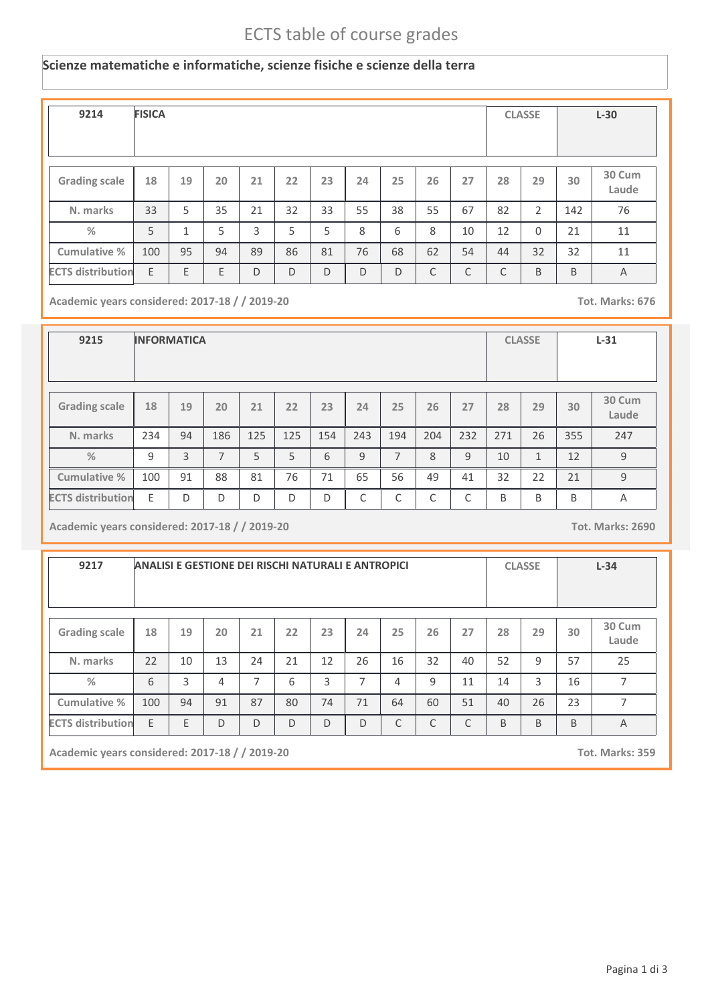## ECTS table of course grades

## **Scienze matematiche e informatiche, scienze fisiche e scienze della terra**

| 9214                     | <b>FISICA</b> |    |    |    |    |    |    |    |    |    |    | <b>CLASSE</b> |     | $L-30$          |
|--------------------------|---------------|----|----|----|----|----|----|----|----|----|----|---------------|-----|-----------------|
| <b>Grading scale</b>     | 18            | 19 | 20 | 21 | 22 | 23 | 24 | 25 | 26 | 27 | 28 | 29            | 30  | 30 Cum<br>Laude |
| N. marks                 | 33            | 5  | 35 | 21 | 32 | 33 | 55 | 38 | 55 | 67 | 82 | 2             | 142 | 76              |
| %                        | 5             | 1  | 5  | 3  | 5  | 5  | 8  | 6  | 8  | 10 | 12 | $\Omega$      | 21  | 11              |
| Cumulative %             | 100           | 95 | 94 | 89 | 86 | 81 | 76 | 68 | 62 | 54 | 44 | 32            | 32  | 11              |
| <b>ECTS distribution</b> | E             | E  | E  | D  | D  | D  | D  | D  | C  | C  | C  | B             | B   | $\overline{A}$  |

**Academic years considered: 2017-18 / / 2019-20 Tot. Marks: 676**

| 9215                     | <b>INFORMATICA</b> |    |     |     |     |     |     |                |     |     |     | <b>CLASSE</b> |     | $L-31$          |
|--------------------------|--------------------|----|-----|-----|-----|-----|-----|----------------|-----|-----|-----|---------------|-----|-----------------|
| <b>Grading scale</b>     | 18                 | 19 | 20  | 21  | 22  | 23  | 24  | 25             | 26  | 27  | 28  | 29            | 30  | 30 Cum<br>Laude |
| N. marks                 | 234                | 94 | 186 | 125 | 125 | 154 | 243 | 194            | 204 | 232 | 271 | 26            | 355 | 247             |
| $\frac{9}{6}$            | $\mathsf{q}$       | 3  | 7   | 5   | 5   | 6   | 9   | $\overline{7}$ | 8   | 9   | 10  | $\mathbf{1}$  | 12  | 9               |
| <b>Cumulative %</b>      | 100                | 91 | 88  | 81  | 76  | 71  | 65  | 56             | 49  | 41  | 32  | 22            | 21  | 9               |
| <b>ECTS distribution</b> | E                  | D  | D   | D   | D   | D   | C   | C              | C   | C   | B   | B             | B   | A               |

**Academic years considered: 2017-18 / / 2019-20 Tot. Marks: 2690**

| 9217                     | ANALISI E GESTIONE DEI RISCHI NATURALI E ANTROPICI |    |                |                |    |    |                |    |    |    |    | <b>CLASSE</b> |    | $L-34$          |
|--------------------------|----------------------------------------------------|----|----------------|----------------|----|----|----------------|----|----|----|----|---------------|----|-----------------|
| <b>Grading scale</b>     | 18                                                 | 19 | 20             | 21             | 22 | 23 | 24             | 25 | 26 | 27 | 28 | 29            | 30 | 30 Cum<br>Laude |
| N. marks                 | 22                                                 | 10 | 13             | 24             | 21 | 12 | 26             | 16 | 32 | 40 | 52 | 9             | 57 | 25              |
| %                        | 6                                                  | 3  | $\overline{4}$ | $\overline{7}$ | 6  | 3  | $\overline{ }$ | 4  | 9  | 11 | 14 | 3             | 16 | 7               |
| Cumulative %             | 100                                                | 94 | 91             | 87             | 80 | 74 | 71             | 64 | 60 | 51 | 40 | 26            | 23 | $\overline{ }$  |
| <b>ECTS distribution</b> | E                                                  | E  | D              | D              | C  | B  | B              | B  | A  |    |    |               |    |                 |

**Academic years considered: 2017-18 / / 2019-20 Tot. Marks: 359**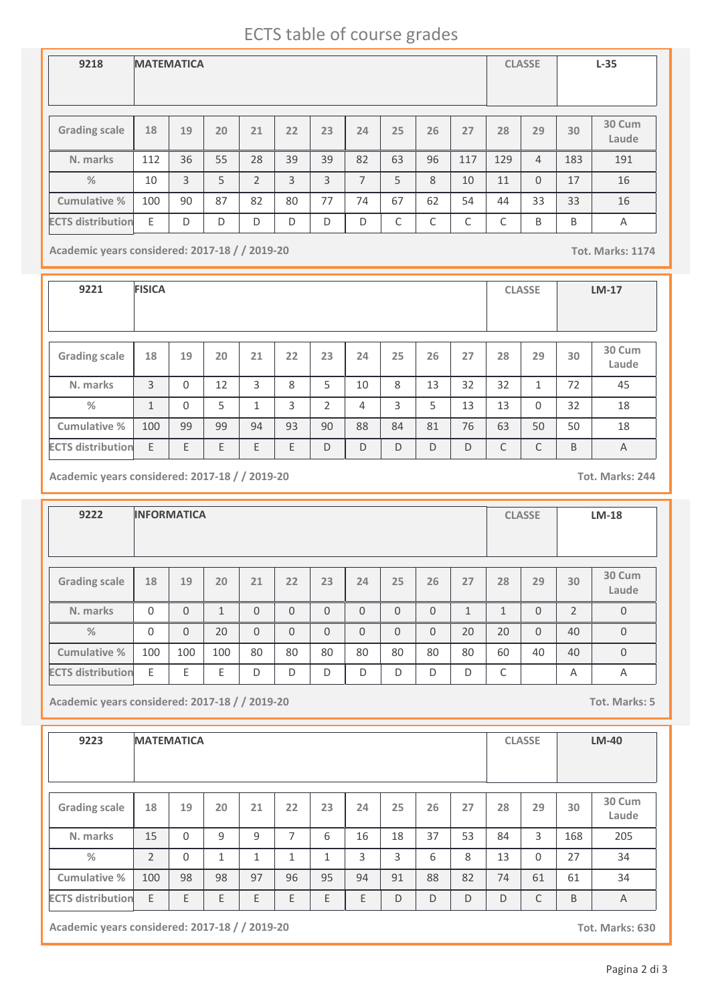## ECTS table of course grades

| 9218                     | <b>MATEMATICA</b> |    |    |                |    |    |    |    |                 |     |     | <b>CLASSE</b>  |     | $L-35$          |
|--------------------------|-------------------|----|----|----------------|----|----|----|----|-----------------|-----|-----|----------------|-----|-----------------|
| <b>Grading scale</b>     | 18                | 19 | 20 | 21             | 22 | 23 | 24 | 25 | 26              | 27  | 28  | 29             | 30  | 30 Cum<br>Laude |
| N. marks                 | 112               | 36 | 55 | 28             | 39 | 39 | 82 | 63 | 96              | 117 | 129 | $\overline{4}$ | 183 | 191             |
| $\frac{0}{2}$            | 10                | 3  | 5  | $\overline{2}$ | 3  | 3  | 7  | 5  | 8               | 10  | 11  | $\Omega$       | 17  | 16              |
| Cumulative %             | 100               | 90 | 87 | 82             | 80 | 77 | 74 | 67 | 62              | 54  | 44  | 33             | 33  | 16              |
| <b>ECTS distribution</b> | E                 | D  | D  | D              | D  | D  | D  | C  | $\sqrt{2}$<br>U | C   | C   | B              | B   | Α               |

**Academic years considered: 2017-18 / / 2019-20 Tot. Marks: 1174**

**9221 FISICA CLASSE LM-17 Grading scale 18 N. marks Cumulative % %** 3 **19** 0 **20** 12 **<sup>21</sup> <sup>22</sup> <sup>23</sup> <sup>24</sup> <sup>25</sup> <sup>26</sup> <sup>27</sup> <sup>28</sup> <sup>29</sup> 30 Cum Laude** 3 | 8 | 5 | 10 | 8 | 13 | 32 | 32 | 1 | 72 | 45 **30** 72 1 0 5 1 3 2 4 3 5 13 13 0 32 18 100 99 99 94 93 90 88 84 81 76 63 50 50 18 **ECTS distribution** E E E E E D D D D D C C B A

**Academic years considered: 2017-18 / / 2019-20 Tot. Marks: 244**

| 9222                     |          | <b>INFORMATICA</b> |              |          |          |          |          |          |          |              |              | <b>CLASSE</b> |                | $LM-18$          |
|--------------------------|----------|--------------------|--------------|----------|----------|----------|----------|----------|----------|--------------|--------------|---------------|----------------|------------------|
| <b>Grading scale</b>     | 18       | 19                 | 20           | 21       | 22       | 23       | 24       | 25       | 26       | 27           | 28           | 29            | 30             | 30 Cum<br>Laude  |
| N. marks                 | $\Omega$ | $\Omega$           | $\mathbf{1}$ | $\Omega$ | $\Omega$ | $\Omega$ | $\Omega$ | $\Omega$ | $\Omega$ | $\mathbf{1}$ | $\mathbf{1}$ | $\Omega$      | $\overline{2}$ | $\boldsymbol{0}$ |
| $\frac{0}{2}$            | $\Omega$ | $\Omega$           | 20           | $\Omega$ | $\Omega$ | $\Omega$ | $\Omega$ | $\Omega$ | $\Omega$ | 20           | 20           | $\Omega$      | 40             | $\mathbf 0$      |
| Cumulative %             | 100      | 100                | 100          | 80       | 80       | 80       | 80       | 80       | 80       | 80           | 60           | 40            | 40             | $\overline{0}$   |
| <b>ECTS distribution</b> | E        | E                  | F            | D        | D        | D        | D        | D        | D        | D            | C            |               | A              | Α                |

**Academic years considered: 2017-18 / / 2019-20 Tot. Marks: 5**

| 9223                     | <b>MATEMATICA</b> |          |              |              |    |    |    |    |    |    |    | <b>CLASSE</b> | <b>LM-40</b> |                 |
|--------------------------|-------------------|----------|--------------|--------------|----|----|----|----|----|----|----|---------------|--------------|-----------------|
| <b>Grading scale</b>     | 18                | 19       | 20           | 21           | 22 | 23 | 24 | 25 | 26 | 27 | 28 | 29            | 30           | 30 Cum<br>Laude |
| N. marks                 | 15                | $\Omega$ | 9            | 9            | 7  | 6  | 16 | 18 | 37 | 53 | 84 | 3             | 168          | 205             |
| %                        | $\overline{2}$    | $\Omega$ | $\mathbf{1}$ | $\mathbf{1}$ | 1  | 1  | 3  | 3  | 6  | 8  | 13 | $\Omega$      | 27           | 34              |
| Cumulative %             | 100               | 98       | 98           | 97           | 96 | 95 | 94 | 91 | 88 | 82 | 74 | 61            | 61           | 34              |
| <b>ECTS distribution</b> | E                 | E        | E            | E            | E  | E  | E  | D  | D  | D  | D  | C             | B            | $\overline{A}$  |

**Academic years considered: 2017-18 / / 2019-20 Tot. Marks: 630**